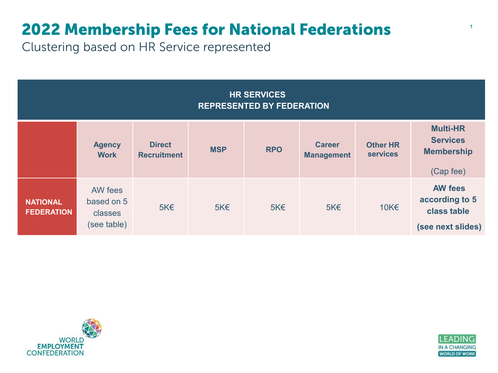## 2022 Membership Fees for National Federations

Clustering based on HR Service represented

| <b>HR SERVICES</b><br><b>REPRESENTED BY FEDERATION</b> |                                                 |                                     |            |            |                                    |                                    |                                                                      |  |
|--------------------------------------------------------|-------------------------------------------------|-------------------------------------|------------|------------|------------------------------------|------------------------------------|----------------------------------------------------------------------|--|
|                                                        | <b>Agency</b><br><b>Work</b>                    | <b>Direct</b><br><b>Recruitment</b> | <b>MSP</b> | <b>RPO</b> | <b>Career</b><br><b>Management</b> | <b>Other HR</b><br><b>services</b> | <b>Multi-HR</b><br><b>Services</b><br><b>Membership</b><br>(Cap fee) |  |
| <b>NATIONAL</b><br><b>FEDERATION</b>                   | AW fees<br>based on 5<br>classes<br>(see table) | $5K\n\tin$                          | $5K \in$   | $5K\n\tin$ | $5K \in$                           | 10K€                               | <b>AW fees</b><br>according to 5<br>class table<br>(see next slides) |  |



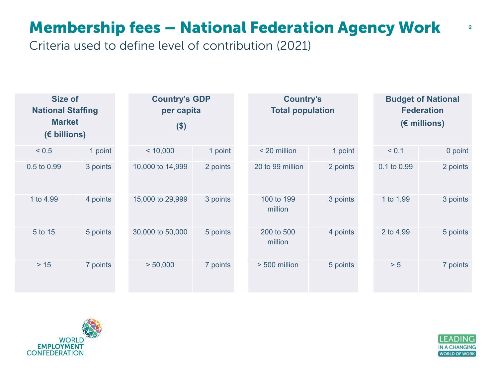## Membership fees – National Federation Agency Work

Criteria used to define level of contribution (2021)

| <b>Size of</b><br><b>National Staffing</b><br><b>Market</b><br>$(E\text{ billions})$ |          | <b>Country's GDP</b><br>per capita<br>( \$ ) |          | <b>Country's</b><br><b>Total population</b> |          | <b>Budget of National</b><br><b>Federation</b><br>$(E \text{ millions})$ |          |
|--------------------------------------------------------------------------------------|----------|----------------------------------------------|----------|---------------------------------------------|----------|--------------------------------------------------------------------------|----------|
| < 0.5                                                                                | 1 point  | < 10,000                                     | 1 point  | < 20 million                                | 1 point  | < 0.1                                                                    | 0 point  |
| 0.5 to 0.99                                                                          | 3 points | 10,000 to 14,999                             | 2 points | 20 to 99 million                            | 2 points | 0.1 to 0.99                                                              | 2 points |
| 1 to 4.99                                                                            | 4 points | 15,000 to 29,999                             | 3 points | 100 to 199<br>million                       | 3 points | 1 to 1.99                                                                | 3 points |
| 5 to 15                                                                              | 5 points | 30,000 to 50,000                             | 5 points | 200 to 500<br>million                       | 4 points | 2 to 4.99                                                                | 5 points |
| $>15$                                                                                | 7 points | > 50,000                                     | 7 points | > 500 million                               | 5 points | > 5                                                                      | 7 points |





2